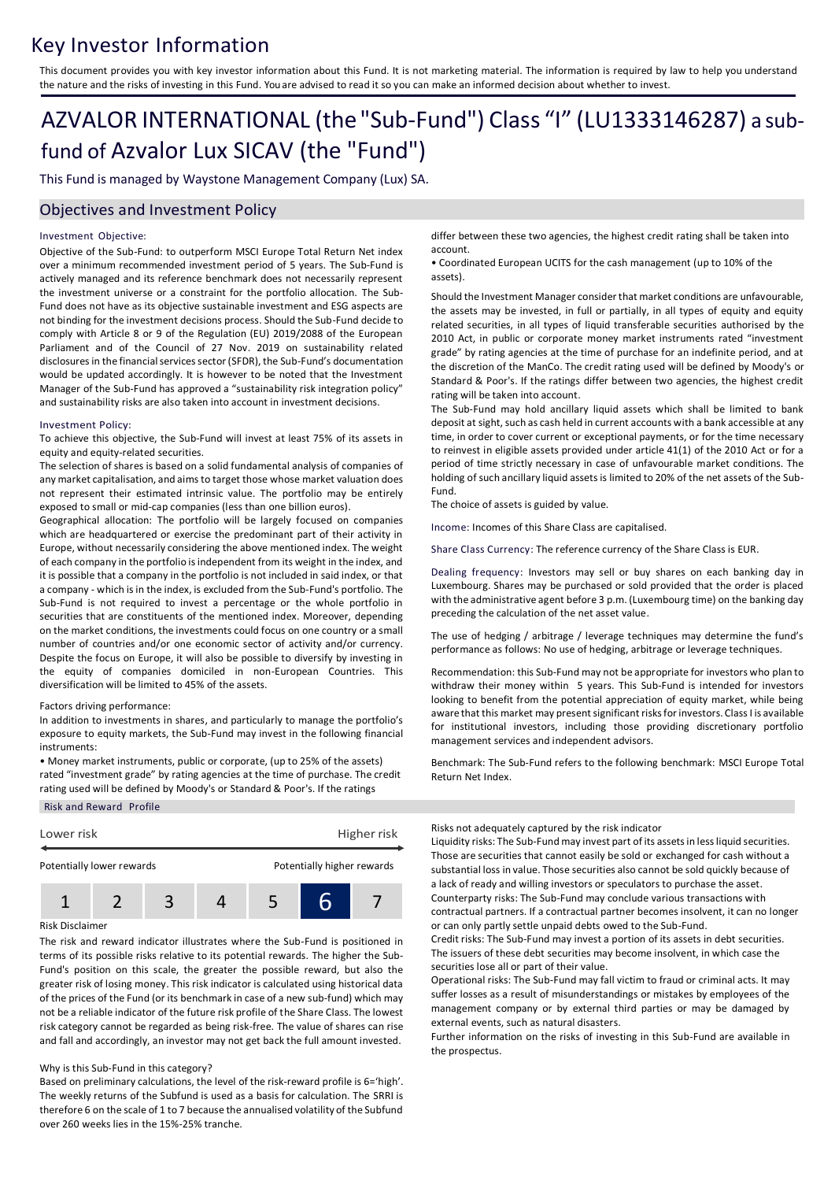## Key Investor Information

This document provides you with key investor information about this Fund. It is not marketing material. The information is required by law to help you understand the nature and the risks of investing in this Fund. You are advised to read it so you can make an informed decision about whether to invest.

# AZVALOR INTERNATIONAL (the "Sub-Fund") Class "I" (LU1333146287) a subfund of Azvalor Lux SICAV (the "Fund")

This Fund is managed by Waystone Management Company (Lux) SA.

### Objectives and Investment Policy

### Investment Objective:

Objective of the Sub-Fund: to outperform MSCI Europe Total Return Net index over a minimum recommended investment period of 5 years. The Sub-Fund is actively managed and its reference benchmark does not necessarily represent the investment universe or a constraint for the portfolio allocation. The Sub-Fund does not have as its objective sustainable investment and ESG aspects are not binding for the investment decisions process. Should the Sub-Fund decide to comply with Article 8 or 9 of the Regulation (EU) 2019/2088 of the European Parliament and of the Council of 27 Nov. 2019 on sustainability related disclosures in the financial services sector (SFDR), the Sub-Fund's documentation would be updated accordingly. It is however to be noted that the Investment Manager of the Sub-Fund has approved a "sustainability risk integration policy" and sustainability risks are also taken into account in investment decisions.

### Investment Policy:

To achieve this objective, the Sub-Fund will invest at least 75% of its assets in equity and equity-related securities.

The selection of shares is based on a solid fundamental analysis of companies of any market capitalisation, and aims to target those whose market valuation does not represent their estimated intrinsic value. The portfolio may be entirely exposed to small or mid-cap companies (less than one billion euros).

Geographical allocation: The portfolio will be largely focused on companies which are headquartered or exercise the predominant part of their activity in Europe, without necessarily considering the above mentioned index. The weight of each company in the portfolio is independent from its weight in the index, and it is possible that a company in the portfolio is not included in said index, or that a company - which is in the index, is excluded from the Sub-Fund's portfolio. The Sub-Fund is not required to invest a percentage or the whole portfolio in securities that are constituents of the mentioned index. Moreover, depending on the market conditions, the investments could focus on one country or a small number of countries and/or one economic sector of activity and/or currency. Despite the focus on Europe, it will also be possible to diversify by investing in the equity of companies domiciled in non-European Countries. This diversification will be limited to 45% of the assets.

### Factors driving performance:

In addition to investments in shares, and particularly to manage the portfolio's exposure to equity markets, the Sub-Fund may invest in the following financial instruments:

• Money market instruments, public or corporate, (up to 25% of the assets) rated "investment grade" by rating agencies at the time of purchase. The credit rating used will be defined by Moody's or Standard & Poor's. If the ratings

Risk and Reward Profile



### Risk Disclaimer

The risk and reward indicator illustrates where the Sub-Fund is positioned in terms of its possible risks relative to its potential rewards. The higher the Sub-Fund's position on this scale, the greater the possible reward, but also the greater risk of losing money. This risk indicator is calculated using historical data of the prices of the Fund (or its benchmark in case of a new sub-fund) which may not be a reliable indicator of the future risk profile of the Share Class. The lowest risk category cannot be regarded as being risk-free. The value of shares can rise and fall and accordingly, an investor may not get back the full amount invested.

### Why is this Sub-Fund in this category?

Based on preliminary calculations, the level of the risk-reward profile is 6='high'. The weekly returns of the Subfund is used as a basis for calculation. The SRRI is therefore 6 on the scale of 1 to 7 because the annualised volatility of the Subfund over 260 weeks lies in the 15%-25% tranche.

differ between these two agencies, the highest credit rating shall be taken into account.

• Coordinated European UCITS for the cash management (up to 10% of the assets).

Should the Investment Manager consider that market conditions are unfavourable, the assets may be invested, in full or partially, in all types of equity and equity related securities, in all types of liquid transferable securities authorised by the 2010 Act, in public or corporate money market instruments rated "investment grade" by rating agencies at the time of purchase for an indefinite period, and at the discretion of the ManCo. The credit rating used will be defined by Moody's or Standard & Poor's. If the ratings differ between two agencies, the highest credit rating will be taken into account.

The Sub-Fund may hold ancillary liquid assets which shall be limited to bank deposit at sight, such as cash held in current accounts with a bank accessible at any time, in order to cover current or exceptional payments, or for the time necessary to reinvest in eligible assets provided under article 41(1) of the 2010 Act or for a period of time strictly necessary in case of unfavourable market conditions. The holding of such ancillary liquid assets is limited to 20% of the net assets of the Sub-Fund.

The choice of assets is guided by value.

Income: Incomes of this Share Class are capitalised.

Share Class Currency: The reference currency of the Share Class is EUR.

Dealing frequency: Investors may sell or buy shares on each banking day in Luxembourg. Shares may be purchased or sold provided that the order is placed with the administrative agent before 3 p.m. (Luxembourg time) on the banking day preceding the calculation of the net asset value.

The use of hedging / arbitrage / leverage techniques may determine the fund's performance as follows: No use of hedging, arbitrage or leverage techniques.

Recommendation: this Sub-Fund may not be appropriate for investors who plan to withdraw their money within 5 years. This Sub-Fund is intended for investors looking to benefit from the potential appreciation of equity market, while being aware that this market may present significant risks for investors. Class I is available for institutional investors, including those providing discretionary portfolio management services and independent advisors.

Benchmark: The Sub-Fund refers to the following benchmark: MSCI Europe Total Return Net Index.

Risks not adequately captured by the risk indicator

Liquidity risks: The Sub-Fund may invest part of its assets in less liquid securities. Those are securities that cannot easily be sold or exchanged for cash without a substantial loss in value. Those securities also cannot be sold quickly because of a lack of ready and willing investors or speculators to purchase the asset. Counterparty risks: The Sub-Fund may conclude various transactions with contractual partners. If a contractual partner becomes insolvent, it can no longer or can only partly settle unpaid debts owed to the Sub-Fund.

Credit risks: The Sub-Fund may invest a portion of its assets in debt securities. The issuers of these debt securities may become insolvent, in which case the securities lose all or part of their value.

Operational risks: The Sub-Fund may fall victim to fraud or criminal acts. It may suffer losses as a result of misunderstandings or mistakes by employees of the management company or by external third parties or may be damaged by external events, such as natural disasters.

Further information on the risks of investing in this Sub-Fund are available in the prospectus.